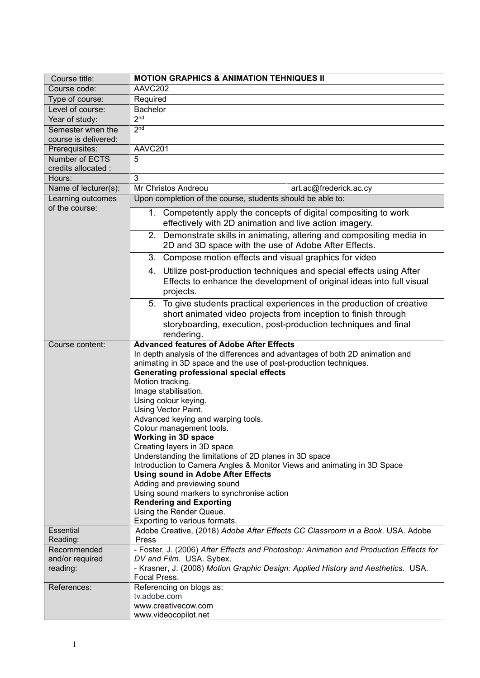| Course title:                       | <b>MOTION GRAPHICS &amp; ANIMATION TEHNIQUES II</b>                                                                                                                                                                                                                                                                                                                                                                                                                                                                                                                                                                                                                                                                                                                                                                                  |
|-------------------------------------|--------------------------------------------------------------------------------------------------------------------------------------------------------------------------------------------------------------------------------------------------------------------------------------------------------------------------------------------------------------------------------------------------------------------------------------------------------------------------------------------------------------------------------------------------------------------------------------------------------------------------------------------------------------------------------------------------------------------------------------------------------------------------------------------------------------------------------------|
| Course code:                        | AAVC202                                                                                                                                                                                                                                                                                                                                                                                                                                                                                                                                                                                                                                                                                                                                                                                                                              |
| Type of course:                     | Required                                                                                                                                                                                                                                                                                                                                                                                                                                                                                                                                                                                                                                                                                                                                                                                                                             |
| Level of course:                    | <b>Bachelor</b>                                                                                                                                                                                                                                                                                                                                                                                                                                                                                                                                                                                                                                                                                                                                                                                                                      |
| Year of study:                      | 2 <sub>nd</sub>                                                                                                                                                                                                                                                                                                                                                                                                                                                                                                                                                                                                                                                                                                                                                                                                                      |
| Semester when the                   | 2 <sup>nd</sup>                                                                                                                                                                                                                                                                                                                                                                                                                                                                                                                                                                                                                                                                                                                                                                                                                      |
| course is delivered:                |                                                                                                                                                                                                                                                                                                                                                                                                                                                                                                                                                                                                                                                                                                                                                                                                                                      |
| Prerequisites:                      | AAVC201                                                                                                                                                                                                                                                                                                                                                                                                                                                                                                                                                                                                                                                                                                                                                                                                                              |
| Number of ECTS                      | 5                                                                                                                                                                                                                                                                                                                                                                                                                                                                                                                                                                                                                                                                                                                                                                                                                                    |
| credits allocated :                 |                                                                                                                                                                                                                                                                                                                                                                                                                                                                                                                                                                                                                                                                                                                                                                                                                                      |
| Hours:                              | 3                                                                                                                                                                                                                                                                                                                                                                                                                                                                                                                                                                                                                                                                                                                                                                                                                                    |
| Name of lecturer(s):                | Mr Christos Andreou<br>art.ac@frederick.ac.cy                                                                                                                                                                                                                                                                                                                                                                                                                                                                                                                                                                                                                                                                                                                                                                                        |
| Learning outcomes<br>of the course: | Upon completion of the course, students should be able to:                                                                                                                                                                                                                                                                                                                                                                                                                                                                                                                                                                                                                                                                                                                                                                           |
|                                     | 1. Competently apply the concepts of digital compositing to work<br>effectively with 2D animation and live action imagery.                                                                                                                                                                                                                                                                                                                                                                                                                                                                                                                                                                                                                                                                                                           |
|                                     | 2. Demonstrate skills in animating, altering and compositing media in<br>2D and 3D space with the use of Adobe After Effects.                                                                                                                                                                                                                                                                                                                                                                                                                                                                                                                                                                                                                                                                                                        |
|                                     | 3. Compose motion effects and visual graphics for video                                                                                                                                                                                                                                                                                                                                                                                                                                                                                                                                                                                                                                                                                                                                                                              |
|                                     | 4. Utilize post-production techniques and special effects using After<br>Effects to enhance the development of original ideas into full visual<br>projects.                                                                                                                                                                                                                                                                                                                                                                                                                                                                                                                                                                                                                                                                          |
|                                     | To give students practical experiences in the production of creative<br>5 <sub>1</sub><br>short animated video projects from inception to finish through<br>storyboarding, execution, post-production techniques and final<br>rendering.                                                                                                                                                                                                                                                                                                                                                                                                                                                                                                                                                                                             |
| Course content:                     | <b>Advanced features of Adobe After Effects</b><br>In depth analysis of the differences and advantages of both 2D animation and<br>animating in 3D space and the use of post-production techniques.<br><b>Generating professional special effects</b><br>Motion tracking.<br>Image stabilisation.<br>Using colour keying.<br>Using Vector Paint.<br>Advanced keying and warping tools.<br>Colour management tools.<br>Working in 3D space<br>Creating layers in 3D space<br>Understanding the limitations of 2D planes in 3D space<br>Introduction to Camera Angles & Monitor Views and animating in 3D Space<br><b>Using sound in Adobe After Effects</b><br>Adding and previewing sound<br>Using sound markers to synchronise action<br><b>Rendering and Exporting</b><br>Using the Render Queue.<br>Exporting to various formats. |
| Essential                           | Adobe Creative, (2018) Adobe After Effects CC Classroom in a Book. USA. Adobe                                                                                                                                                                                                                                                                                                                                                                                                                                                                                                                                                                                                                                                                                                                                                        |
| Reading:                            | <b>Press</b>                                                                                                                                                                                                                                                                                                                                                                                                                                                                                                                                                                                                                                                                                                                                                                                                                         |
| Recommended                         | - Foster, J. (2006) After Effects and Photoshop: Animation and Production Effects for                                                                                                                                                                                                                                                                                                                                                                                                                                                                                                                                                                                                                                                                                                                                                |
| and/or required                     | DV and Film. USA. Sybex.                                                                                                                                                                                                                                                                                                                                                                                                                                                                                                                                                                                                                                                                                                                                                                                                             |
| reading:                            | - Krasner, J. (2008) Motion Graphic Design: Applied History and Aesthetics. USA.<br>Focal Press.                                                                                                                                                                                                                                                                                                                                                                                                                                                                                                                                                                                                                                                                                                                                     |
| References:                         | Referencing on blogs as:                                                                                                                                                                                                                                                                                                                                                                                                                                                                                                                                                                                                                                                                                                                                                                                                             |
|                                     | tv.adobe.com                                                                                                                                                                                                                                                                                                                                                                                                                                                                                                                                                                                                                                                                                                                                                                                                                         |
|                                     | www.creativecow.com                                                                                                                                                                                                                                                                                                                                                                                                                                                                                                                                                                                                                                                                                                                                                                                                                  |
|                                     | www.videocopilot.net                                                                                                                                                                                                                                                                                                                                                                                                                                                                                                                                                                                                                                                                                                                                                                                                                 |